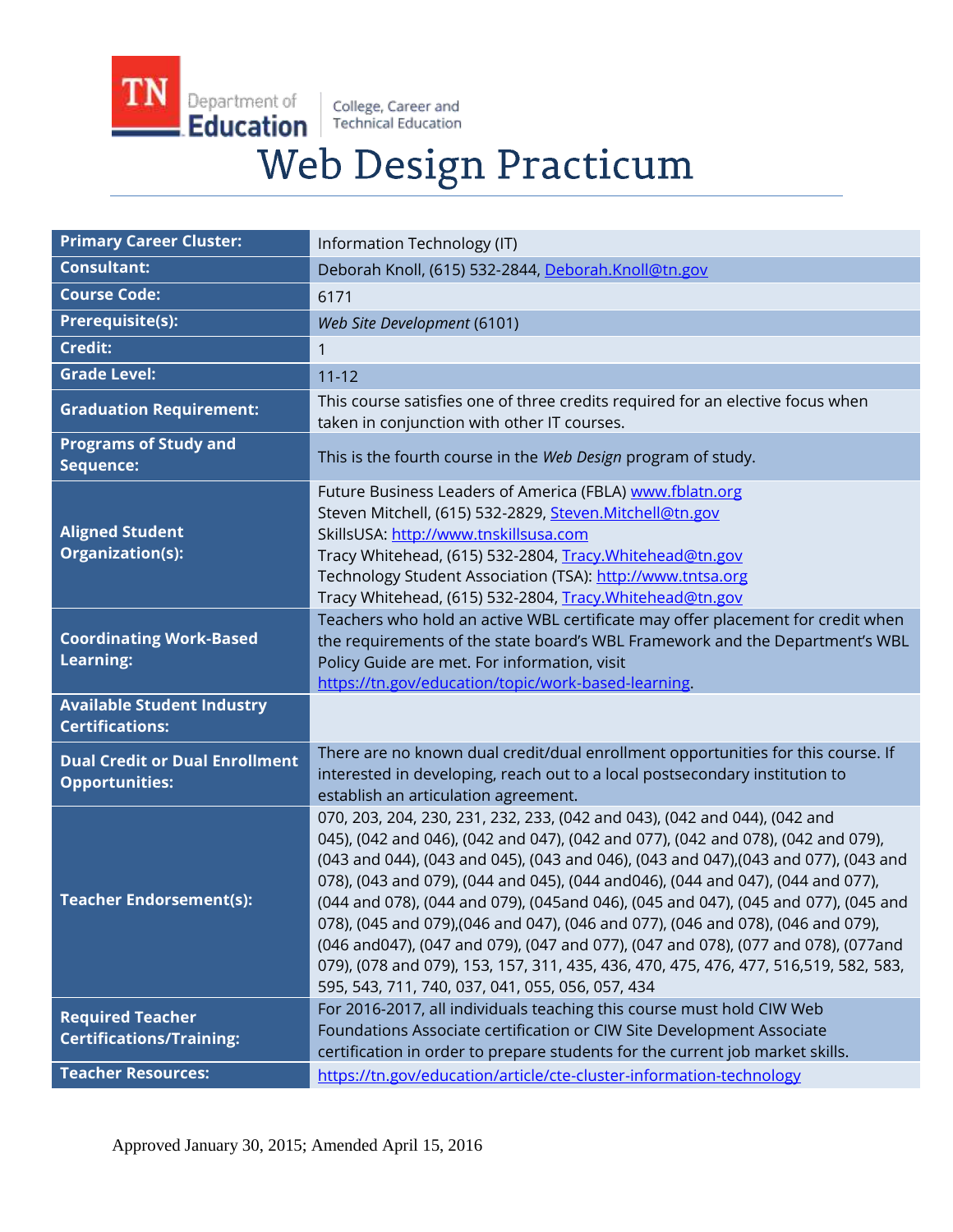College, Career and<br>Technical Education

TN

Department of

Education

# Web Design Practicum

| <b>Primary Career Cluster:</b>                                 | Information Technology (IT)                                                                                                                                                                                                                                                                                                                                                                                                                                                                                                                                                                                                                                                                                                                         |
|----------------------------------------------------------------|-----------------------------------------------------------------------------------------------------------------------------------------------------------------------------------------------------------------------------------------------------------------------------------------------------------------------------------------------------------------------------------------------------------------------------------------------------------------------------------------------------------------------------------------------------------------------------------------------------------------------------------------------------------------------------------------------------------------------------------------------------|
| <b>Consultant:</b>                                             | Deborah Knoll, (615) 532-2844, Deborah.Knoll@tn.gov                                                                                                                                                                                                                                                                                                                                                                                                                                                                                                                                                                                                                                                                                                 |
| <b>Course Code:</b>                                            | 6171                                                                                                                                                                                                                                                                                                                                                                                                                                                                                                                                                                                                                                                                                                                                                |
| <b>Prerequisite(s):</b>                                        | Web Site Development (6101)                                                                                                                                                                                                                                                                                                                                                                                                                                                                                                                                                                                                                                                                                                                         |
| <b>Credit:</b>                                                 | 1                                                                                                                                                                                                                                                                                                                                                                                                                                                                                                                                                                                                                                                                                                                                                   |
| <b>Grade Level:</b>                                            | $11 - 12$                                                                                                                                                                                                                                                                                                                                                                                                                                                                                                                                                                                                                                                                                                                                           |
| <b>Graduation Requirement:</b>                                 | This course satisfies one of three credits required for an elective focus when<br>taken in conjunction with other IT courses.                                                                                                                                                                                                                                                                                                                                                                                                                                                                                                                                                                                                                       |
| <b>Programs of Study and</b><br>Sequence:                      | This is the fourth course in the Web Design program of study.                                                                                                                                                                                                                                                                                                                                                                                                                                                                                                                                                                                                                                                                                       |
| <b>Aligned Student</b><br>Organization(s):                     | Future Business Leaders of America (FBLA) www.fblatn.org<br>Steven Mitchell, (615) 532-2829, Steven.Mitchell@tn.gov<br>SkillsUSA: http://www.tnskillsusa.com<br>Tracy Whitehead, (615) 532-2804, Tracy. Whitehead@tn.gov<br>Technology Student Association (TSA): http://www.tntsa.org<br>Tracy Whitehead, (615) 532-2804, Tracy. Whitehead@tn.gov                                                                                                                                                                                                                                                                                                                                                                                                  |
| <b>Coordinating Work-Based</b><br>Learning:                    | Teachers who hold an active WBL certificate may offer placement for credit when<br>the requirements of the state board's WBL Framework and the Department's WBL<br>Policy Guide are met. For information, visit<br>https://tn.gov/education/topic/work-based-learning.                                                                                                                                                                                                                                                                                                                                                                                                                                                                              |
| <b>Available Student Industry</b><br><b>Certifications:</b>    |                                                                                                                                                                                                                                                                                                                                                                                                                                                                                                                                                                                                                                                                                                                                                     |
| <b>Dual Credit or Dual Enrollment</b><br><b>Opportunities:</b> | There are no known dual credit/dual enrollment opportunities for this course. If<br>interested in developing, reach out to a local postsecondary institution to<br>establish an articulation agreement.                                                                                                                                                                                                                                                                                                                                                                                                                                                                                                                                             |
| <b>Teacher Endorsement(s):</b>                                 | 070, 203, 204, 230, 231, 232, 233, (042 and 043), (042 and 044), (042 and<br>045), (042 and 046), (042 and 047), (042 and 077), (042 and 078), (042 and 079),<br>(043 and 044), (043 and 045), (043 and 046), (043 and 047), (043 and 077), (043 and<br>078), (043 and 079), (044 and 045), (044 and046), (044 and 047), (044 and 077),<br>(044 and 078), (044 and 079), (045and 046), (045 and 047), (045 and 077), (045 and<br>078), (045 and 079), (046 and 047), (046 and 077), (046 and 078), (046 and 079),<br>(046 and047), (047 and 079), (047 and 077), (047 and 078), (077 and 078), (077 and<br>079), (078 and 079), 153, 157, 311, 435, 436, 470, 475, 476, 477, 516,519, 582, 583,<br>595, 543, 711, 740, 037, 041, 055, 056, 057, 434 |
| <b>Required Teacher</b><br><b>Certifications/Training:</b>     | For 2016-2017, all individuals teaching this course must hold CIW Web<br>Foundations Associate certification or CIW Site Development Associate<br>certification in order to prepare students for the current job market skills.                                                                                                                                                                                                                                                                                                                                                                                                                                                                                                                     |
| <b>Teacher Resources:</b>                                      | https://tn.gov/education/article/cte-cluster-information-technology                                                                                                                                                                                                                                                                                                                                                                                                                                                                                                                                                                                                                                                                                 |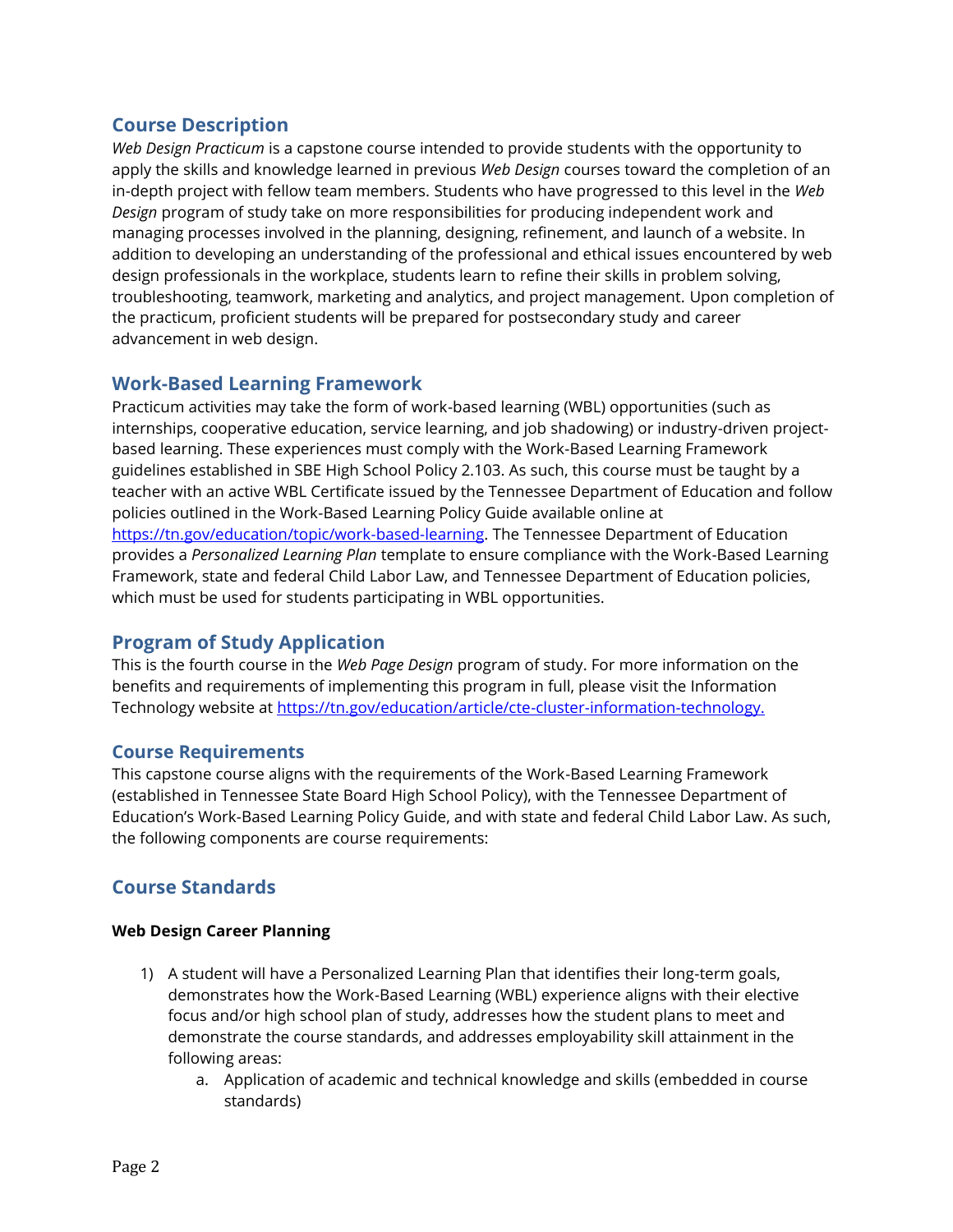# **Course Description**

*Web Design Practicum* is a capstone course intended to provide students with the opportunity to apply the skills and knowledge learned in previous *Web Design* courses toward the completion of an in-depth project with fellow team members. Students who have progressed to this level in the *Web Design* program of study take on more responsibilities for producing independent work and managing processes involved in the planning, designing, refinement, and launch of a website. In addition to developing an understanding of the professional and ethical issues encountered by web design professionals in the workplace, students learn to refine their skills in problem solving, troubleshooting, teamwork, marketing and analytics, and project management. Upon completion of the practicum, proficient students will be prepared for postsecondary study and career advancement in web design.

# **Work-Based Learning Framework**

Practicum activities may take the form of work-based learning (WBL) opportunities (such as internships, cooperative education, service learning, and job shadowing) or industry-driven projectbased learning. These experiences must comply with the Work-Based Learning Framework guidelines established in SBE High School Policy 2.103. As such, this course must be taught by a teacher with an active WBL Certificate issued by the Tennessee Department of Education and follow policies outlined in the Work-Based Learning Policy Guide available online at [https://tn.gov/education/topic/work-based-learning.](https://tn.gov/education/topic/work-based-learning) The Tennessee Department of Education provides a *Personalized Learning Plan* template to ensure compliance with the Work-Based Learning Framework, state and federal Child Labor Law, and Tennessee Department of Education policies, which must be used for students participating in WBL opportunities.

## **Program of Study Application**

This is the fourth course in the *Web Page Design* program of study. For more information on the benefits and requirements of implementing this program in full, please visit the Information Technology website at [https://tn.gov/education/article/cte-cluster-information-technology.](https://tn.gov/education/article/cte-cluster-information-technology)

## **Course Requirements**

This capstone course aligns with the requirements of the Work-Based Learning Framework (established in Tennessee State Board High School Policy), with the Tennessee Department of Education's Work-Based Learning Policy Guide, and with state and federal Child Labor Law. As such, the following components are course requirements:

# **Course Standards**

## **Web Design Career Planning**

- 1) A student will have a Personalized Learning Plan that identifies their long-term goals, demonstrates how the Work-Based Learning (WBL) experience aligns with their elective focus and/or high school plan of study, addresses how the student plans to meet and demonstrate the course standards, and addresses employability skill attainment in the following areas:
	- a. Application of academic and technical knowledge and skills (embedded in course standards)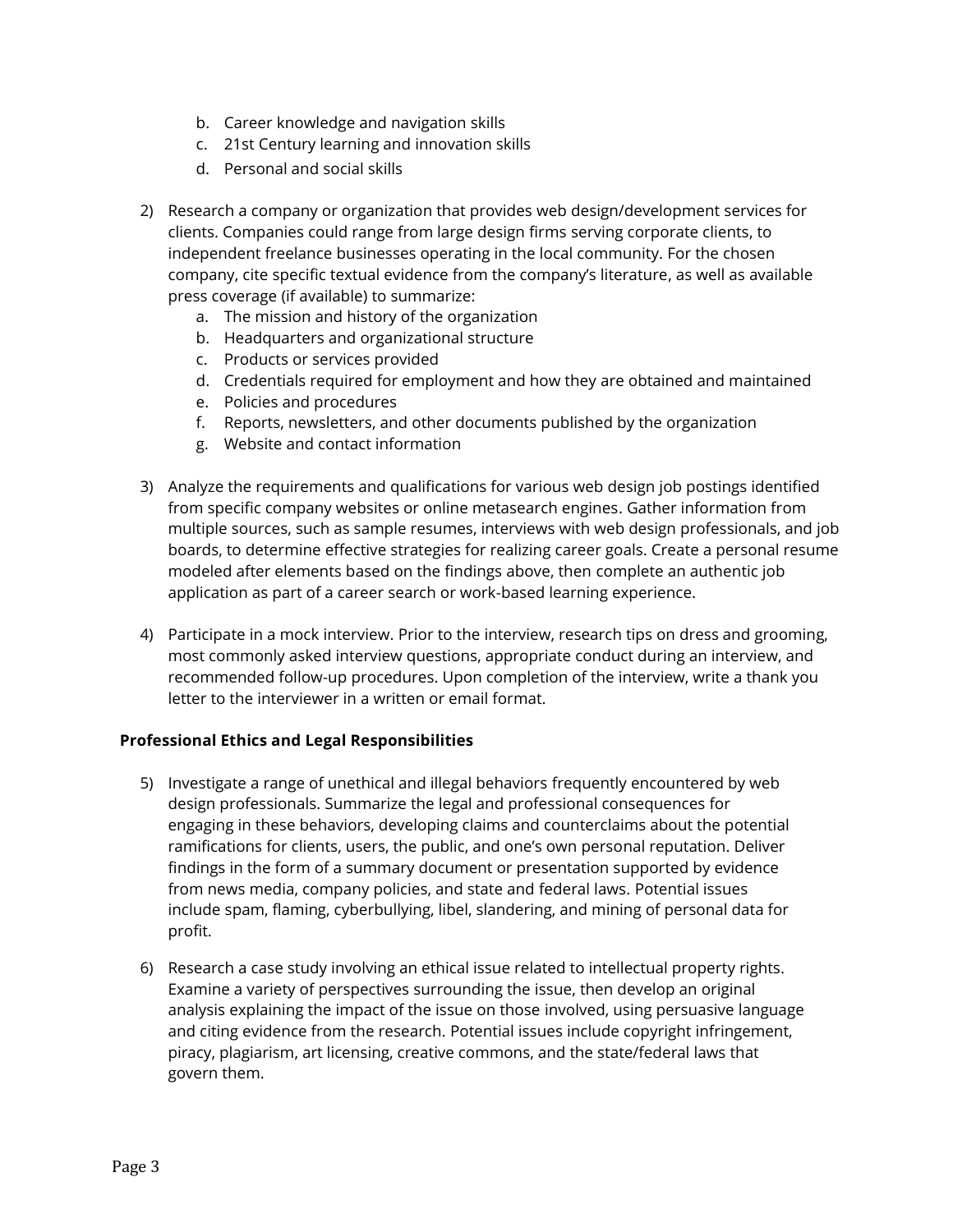- b. Career knowledge and navigation skills
- c. 21st Century learning and innovation skills
- d. Personal and social skills
- 2) Research a company or organization that provides web design/development services for clients. Companies could range from large design firms serving corporate clients, to independent freelance businesses operating in the local community. For the chosen company, cite specific textual evidence from the company's literature, as well as available press coverage (if available) to summarize:
	- a. The mission and history of the organization
	- b. Headquarters and organizational structure
	- c. Products or services provided
	- d. Credentials required for employment and how they are obtained and maintained
	- e. Policies and procedures
	- f. Reports, newsletters, and other documents published by the organization
	- g. Website and contact information
- 3) Analyze the requirements and qualifications for various web design job postings identified from specific company websites or online metasearch engines. Gather information from multiple sources, such as sample resumes, interviews with web design professionals, and job boards, to determine effective strategies for realizing career goals. Create a personal resume modeled after elements based on the findings above, then complete an authentic job application as part of a career search or work-based learning experience.
- 4) Participate in a mock interview. Prior to the interview, research tips on dress and grooming, most commonly asked interview questions, appropriate conduct during an interview, and recommended follow-up procedures. Upon completion of the interview, write a thank you letter to the interviewer in a written or email format.

## **Professional Ethics and Legal Responsibilities**

- 5) Investigate a range of unethical and illegal behaviors frequently encountered by web design professionals. Summarize the legal and professional consequences for engaging in these behaviors, developing claims and counterclaims about the potential ramifications for clients, users, the public, and one's own personal reputation. Deliver findings in the form of a summary document or presentation supported by evidence from news media, company policies, and state and federal laws. Potential issues include spam, flaming, cyberbullying, libel, slandering, and mining of personal data for profit.
- 6) Research a case study involving an ethical issue related to intellectual property rights. Examine a variety of perspectives surrounding the issue, then develop an original analysis explaining the impact of the issue on those involved, using persuasive language and citing evidence from the research. Potential issues include copyright infringement, piracy, plagiarism, art licensing, creative commons, and the state/federal laws that govern them.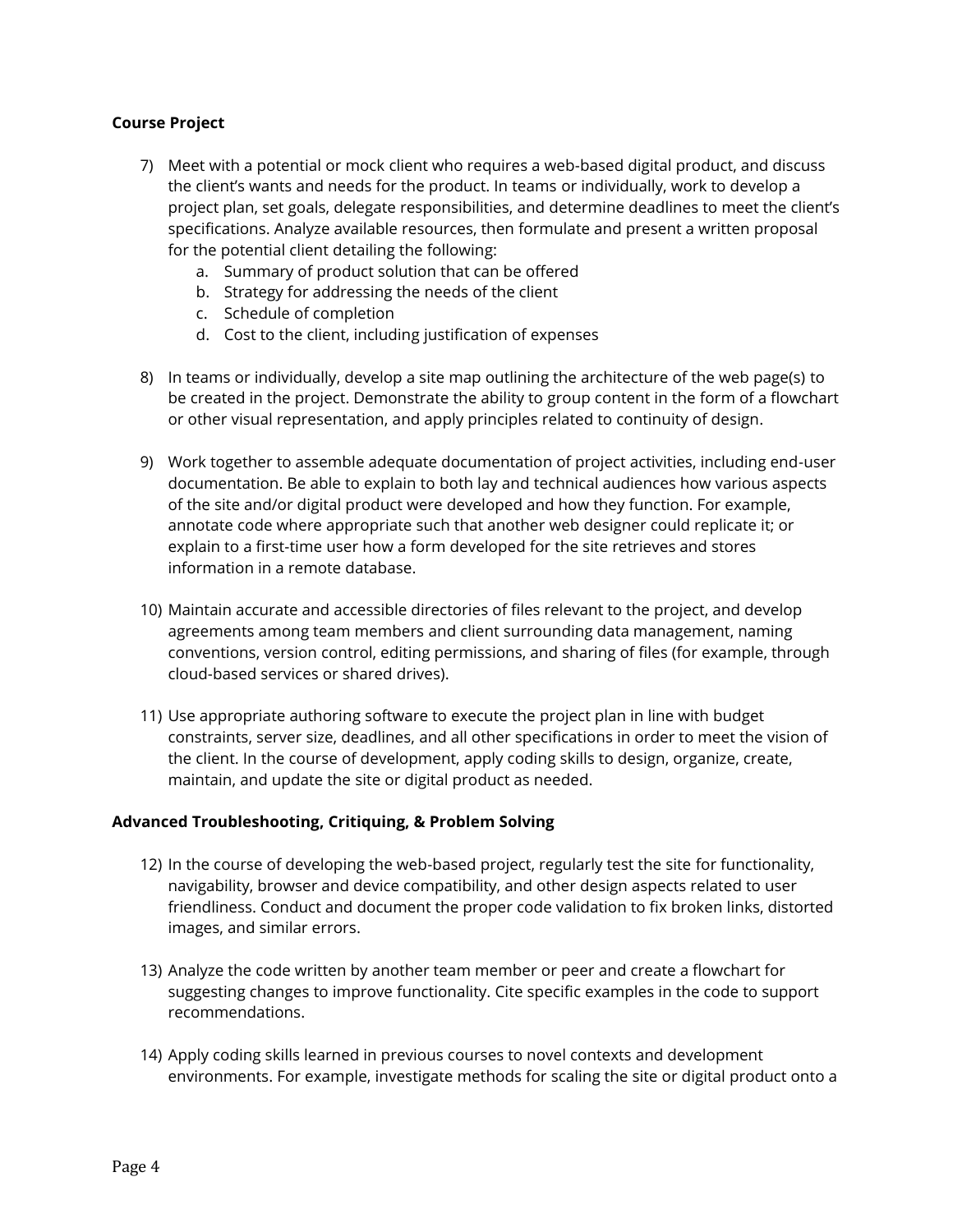#### **Course Project**

- 7) Meet with a potential or mock client who requires a web-based digital product, and discuss the client's wants and needs for the product. In teams or individually, work to develop a project plan, set goals, delegate responsibilities, and determine deadlines to meet the client's specifications. Analyze available resources, then formulate and present a written proposal for the potential client detailing the following:
	- a. Summary of product solution that can be offered
	- b. Strategy for addressing the needs of the client
	- c. Schedule of completion
	- d. Cost to the client, including justification of expenses
- 8) In teams or individually, develop a site map outlining the architecture of the web page(s) to be created in the project. Demonstrate the ability to group content in the form of a flowchart or other visual representation, and apply principles related to continuity of design.
- 9) Work together to assemble adequate documentation of project activities, including end-user documentation. Be able to explain to both lay and technical audiences how various aspects of the site and/or digital product were developed and how they function. For example, annotate code where appropriate such that another web designer could replicate it; or explain to a first-time user how a form developed for the site retrieves and stores information in a remote database.
- 10) Maintain accurate and accessible directories of files relevant to the project, and develop agreements among team members and client surrounding data management, naming conventions, version control, editing permissions, and sharing of files (for example, through cloud-based services or shared drives).
- 11) Use appropriate authoring software to execute the project plan in line with budget constraints, server size, deadlines, and all other specifications in order to meet the vision of the client. In the course of development, apply coding skills to design, organize, create, maintain, and update the site or digital product as needed.

#### **Advanced Troubleshooting, Critiquing, & Problem Solving**

- 12) In the course of developing the web-based project, regularly test the site for functionality, navigability, browser and device compatibility, and other design aspects related to user friendliness. Conduct and document the proper code validation to fix broken links, distorted images, and similar errors.
- 13) Analyze the code written by another team member or peer and create a flowchart for suggesting changes to improve functionality. Cite specific examples in the code to support recommendations.
- 14) Apply coding skills learned in previous courses to novel contexts and development environments. For example, investigate methods for scaling the site or digital product onto a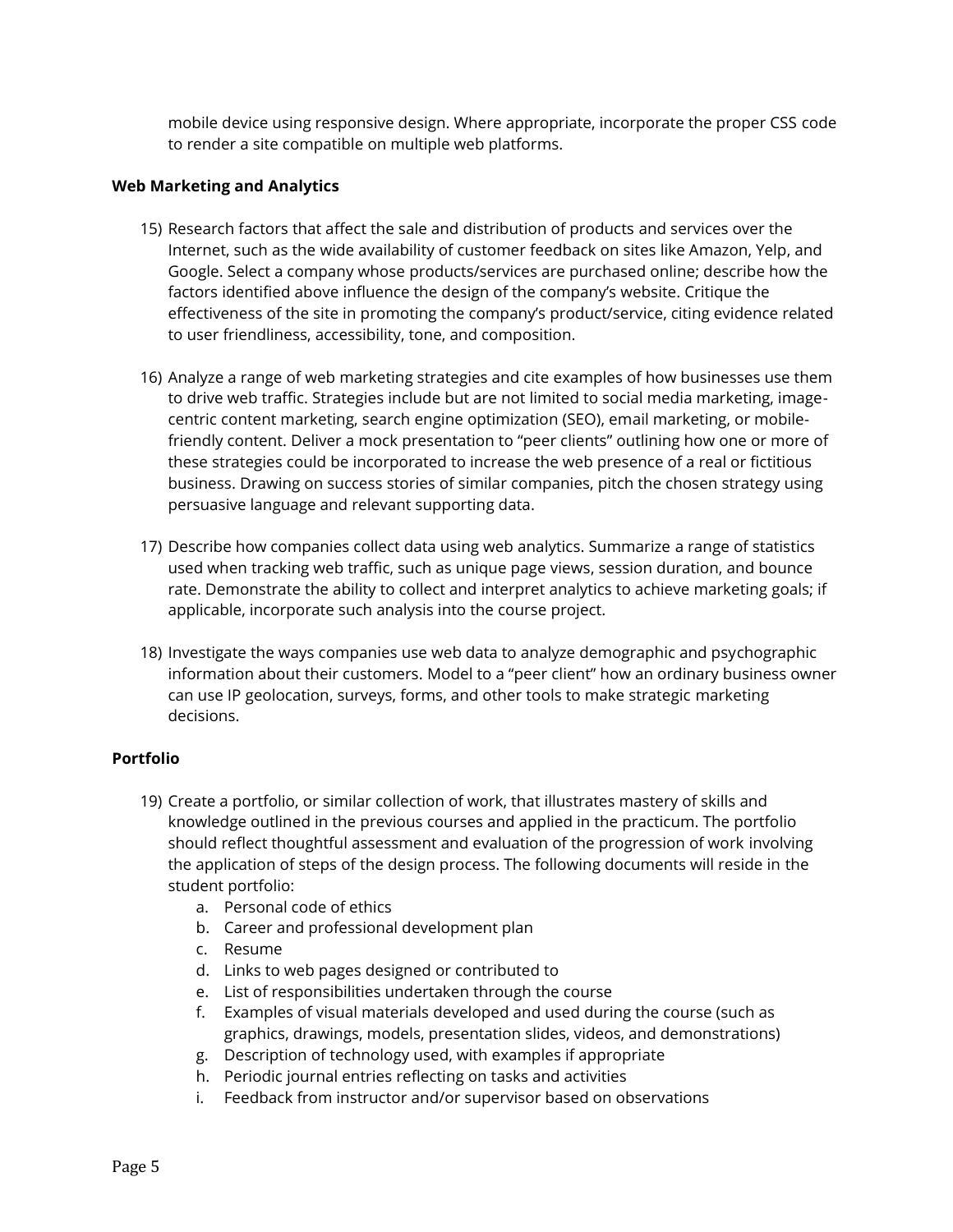mobile device using responsive design. Where appropriate, incorporate the proper CSS code to render a site compatible on multiple web platforms.

#### **Web Marketing and Analytics**

- 15) Research factors that affect the sale and distribution of products and services over the Internet, such as the wide availability of customer feedback on sites like Amazon, Yelp, and Google. Select a company whose products/services are purchased online; describe how the factors identified above influence the design of the company's website. Critique the effectiveness of the site in promoting the company's product/service, citing evidence related to user friendliness, accessibility, tone, and composition.
- 16) Analyze a range of web marketing strategies and cite examples of how businesses use them to drive web traffic. Strategies include but are not limited to social media marketing, imagecentric content marketing, search engine optimization (SEO), email marketing, or mobilefriendly content. Deliver a mock presentation to "peer clients" outlining how one or more of these strategies could be incorporated to increase the web presence of a real or fictitious business. Drawing on success stories of similar companies, pitch the chosen strategy using persuasive language and relevant supporting data.
- 17) Describe how companies collect data using web analytics. Summarize a range of statistics used when tracking web traffic, such as unique page views, session duration, and bounce rate. Demonstrate the ability to collect and interpret analytics to achieve marketing goals; if applicable, incorporate such analysis into the course project.
- 18) Investigate the ways companies use web data to analyze demographic and psychographic information about their customers. Model to a "peer client" how an ordinary business owner can use IP geolocation, surveys, forms, and other tools to make strategic marketing decisions.

## **Portfolio**

- 19) Create a portfolio, or similar collection of work, that illustrates mastery of skills and knowledge outlined in the previous courses and applied in the practicum. The portfolio should reflect thoughtful assessment and evaluation of the progression of work involving the application of steps of the design process. The following documents will reside in the student portfolio:
	- a. Personal code of ethics
	- b. Career and professional development plan
	- c. Resume
	- d. Links to web pages designed or contributed to
	- e. List of responsibilities undertaken through the course
	- f. Examples of visual materials developed and used during the course (such as graphics, drawings, models, presentation slides, videos, and demonstrations)
	- g. Description of technology used, with examples if appropriate
	- h. Periodic journal entries reflecting on tasks and activities
	- i. Feedback from instructor and/or supervisor based on observations